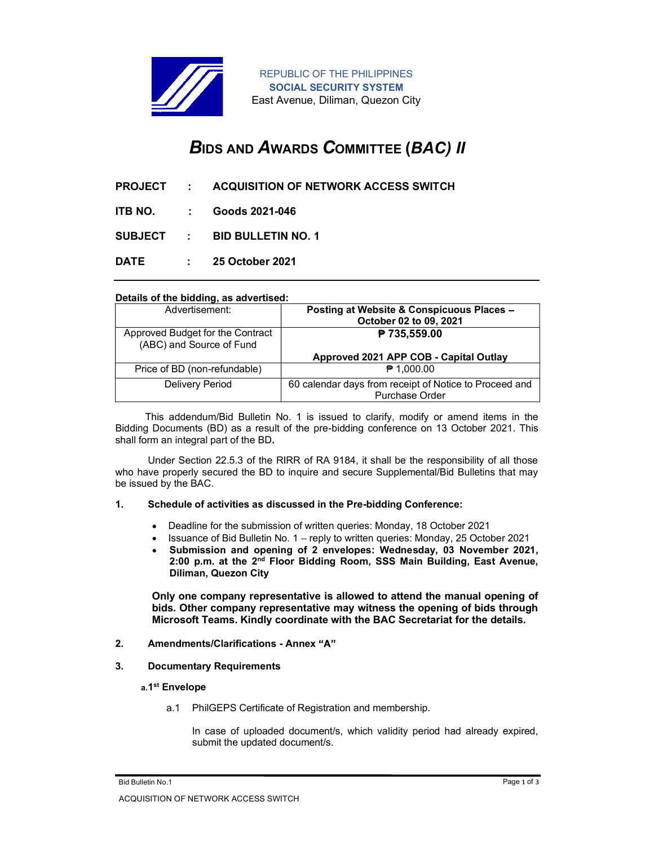

# BIDS AND AWARDS COMMITTEE (BAC) II

- PROJECT : ACQUISITION OF NETWORK ACCESS SWITCH
- ITB NO. : Goods 2021-046
- SUBJECT : BID BULLETIN NO. 1
- 

### Details of the bidding, as advertised:

| <b>REPUBLIC OF THE PHILIPPINES</b><br><b>SOCIAL SECURITY SYSTEM</b><br>East Avenue, Diliman, Quezon City |                                                        |  |
|----------------------------------------------------------------------------------------------------------|--------------------------------------------------------|--|
| <b>BIDS AND AWARDS COMMITTEE (BAC) II</b>                                                                |                                                        |  |
| <b>PROJECT</b><br><b>ACQUISITION OF NETWORK ACCESS SWITCH</b><br>÷                                       |                                                        |  |
| Goods 2021-046<br>ITB NO.                                                                                |                                                        |  |
| <b>BID BULLETIN NO. 1</b><br><b>SUBJECT</b><br>÷.                                                        |                                                        |  |
| 25 October 2021                                                                                          |                                                        |  |
| <b>DATE</b><br>÷.                                                                                        |                                                        |  |
| Details of the bidding, as advertised:                                                                   |                                                        |  |
| Advertisement:                                                                                           | Posting at Website & Conspicuous Places -              |  |
| Approved Budget for the Contract                                                                         | October 02 to 09, 2021<br>₱ 735,559.00                 |  |
| (ABC) and Source of Fund                                                                                 |                                                        |  |
|                                                                                                          | Approved 2021 APP COB - Capital Outlay                 |  |
| Price of BD (non-refundable)                                                                             | ₱ 1,000.00                                             |  |
| Delivery Period                                                                                          | 60 calendar days from receipt of Notice to Proceed and |  |
|                                                                                                          | Purchase Order                                         |  |

 This addendum/Bid Bulletin No. 1 is issued to clarify, modify or amend items in the Bidding Documents (BD) as a result of the pre-bidding conference on 13 October 2021. This shall form an integral part of the BD.

Under Section 22.5.3 of the RIRR of RA 9184, it shall be the responsibility of all those who have properly secured the BD to inquire and secure Supplemental/Bid Bulletins that may be issued by the BAC.

#### 1. Schedule of activities as discussed in the Pre-bidding Conference:

- Deadline for the submission of written queries: Monday, 18 October 2021
- $\bullet$  Issuance of Bid Bulletin No. 1 reply to written queries: Monday, 25 October 2021
- Submission and opening of 2 envelopes: Wednesday, 03 November 2021, 2:00 p.m. at the 2<sup>nd</sup> Floor Bidding Room, SSS Main Building, East Avenue, Diliman, Quezon City

Only one company representative is allowed to attend the manual opening of bids. Other company representative may witness the opening of bids through Microsoft Teams. Kindly coordinate with the BAC Secretariat for the details.

- 2. Amendments/Clarifications Annex "A"
- 3. Documentary Requirements

#### a.1 st Envelope

a.1 PhilGEPS Certificate of Registration and membership.

In case of uploaded document/s, which validity period had already expired, submit the updated document/s.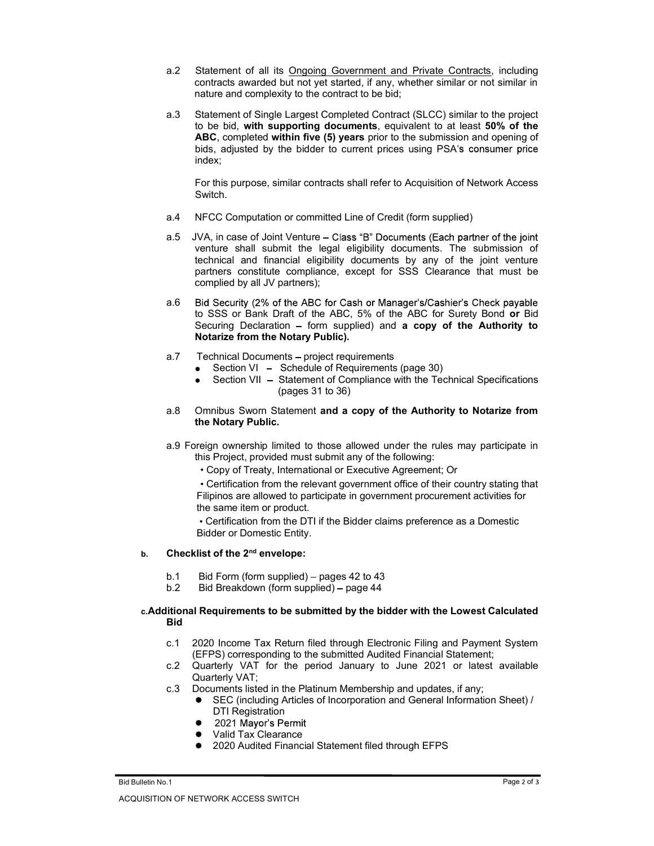- a.2 Statement of all its Ongoing Government and Private Contracts, including contracts awarded but not yet started, if any, whether similar or not similar in nature and complexity to the contract to be bid;
- a.3 Statement of Single Largest Completed Contract (SLCC) similar to the project to be bid, with supporting documents, equivalent to at least 50% of the ABC, completed within five (5) years prior to the submission and opening of bids, adjusted by the bidder to current prices using PSA's consumer price index;

 For this purpose, similar contracts shall refer to Acquisition of Network Access Switch.

- a.4 NFCC Computation or committed Line of Credit (form supplied)
- a.5 JVA, in case of Joint Venture Class "B" Documents (Each partner of the joint venture shall submit the legal eligibility documents. The submission of technical and financial eligibility documents by any of the joint venture partners constitute compliance, except for SSS Clearance that must be complied by all JV partners);
- a.6 Bid Security (2% of the ABC for Cash or Manager's/Cashier's Check payable to SSS or Bank Draft of the ABC, 5% of the ABC for Surety Bond or Bid Securing Declaration  $-$  form supplied) and a copy of the Authority to Notarize from the Notary Public).
- a.7 Technical Documents project requirements
	- Section VI Schedule of Requirements (page 30)  $\bullet$
	- Section VII Statement of Compliance with the Technical Specifications  $\bullet$ (pages 31 to 36)
- a.8 Omnibus Sworn Statement and a copy of the Authority to Notarize from the Notary Public.
- a.9 Foreign ownership limited to those allowed under the rules may participate in this Project, provided must submit any of the following:
	- Copy of Treaty, International or Executive Agreement; Or

Certification from the relevant government office of their country stating that Filipinos are allowed to participate in government procurement activities for the same item or product.

Certification from the DTI if the Bidder claims preference as a Domestic Bidder or Domestic Entity.

# b. Checklist of the 2<sup>nd</sup> envelope:

- b.1 Bid Form (form supplied)  $-$  pages 42 to 43
- b.2 Bid Breakdown (form supplied) page 44

## c.Additional Requirements to be submitted by the bidder with the Lowest Calculated **Bid Bid Bid**

- c.1 2020 Income Tax Return filed through Electronic Filing and Payment System (EFPS) corresponding to the submitted Audited Financial Statement;
- c.2 Quarterly VAT for the period January to June 2021 or latest available Quarterly VAT;
- c.3 Documents listed in the Platinum Membership and updates, if any;
	- SEC (including Articles of Incorporation and General Information Sheet) / DTI Registration
	- 2021 Mayor's Permit
	- Valid Tax Clearance
	- 2020 Audited Financial Statement filed through EFPS